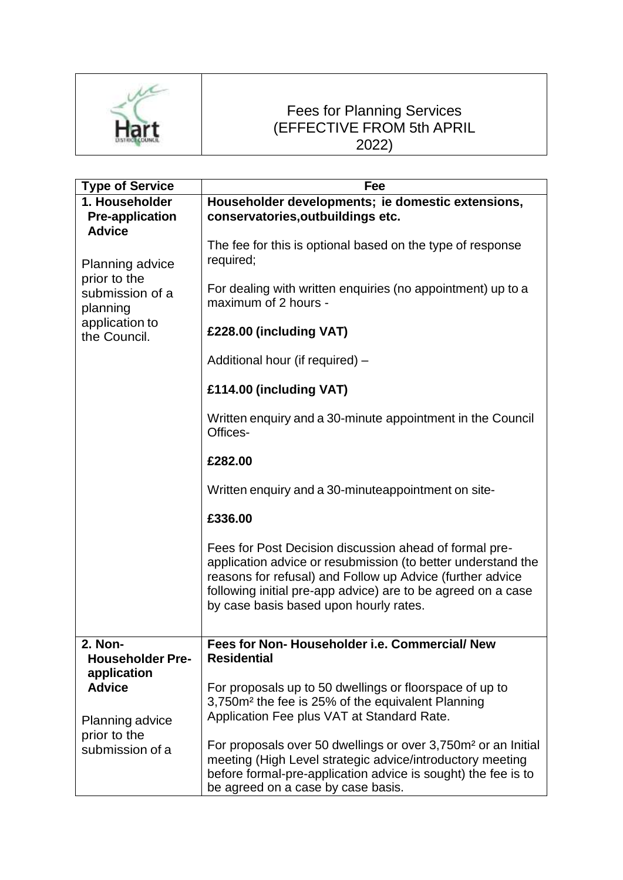

## Fees for Planning Services (EFFECTIVE FROM 5th APRIL 2022)

| <b>Type of Service</b>                                                                                  | Fee                                                                                                                                                                                                                                                                                           |  |  |
|---------------------------------------------------------------------------------------------------------|-----------------------------------------------------------------------------------------------------------------------------------------------------------------------------------------------------------------------------------------------------------------------------------------------|--|--|
|                                                                                                         |                                                                                                                                                                                                                                                                                               |  |  |
| 1. Householder<br><b>Pre-application</b>                                                                | Householder developments; ie domestic extensions,<br>conservatories, outbuildings etc.                                                                                                                                                                                                        |  |  |
| <b>Advice</b>                                                                                           |                                                                                                                                                                                                                                                                                               |  |  |
| <b>Planning advice</b><br>prior to the<br>submission of a<br>planning<br>application to<br>the Council. | The fee for this is optional based on the type of response<br>required;                                                                                                                                                                                                                       |  |  |
|                                                                                                         | For dealing with written enquiries (no appointment) up to a<br>maximum of 2 hours -                                                                                                                                                                                                           |  |  |
|                                                                                                         | £228.00 (including VAT)                                                                                                                                                                                                                                                                       |  |  |
|                                                                                                         | Additional hour (if required) -                                                                                                                                                                                                                                                               |  |  |
|                                                                                                         | £114.00 (including VAT)                                                                                                                                                                                                                                                                       |  |  |
|                                                                                                         | Written enquiry and a 30-minute appointment in the Council<br>Offices-                                                                                                                                                                                                                        |  |  |
|                                                                                                         | £282.00                                                                                                                                                                                                                                                                                       |  |  |
|                                                                                                         | Written enquiry and a 30-minuteappointment on site-                                                                                                                                                                                                                                           |  |  |
|                                                                                                         | £336.00                                                                                                                                                                                                                                                                                       |  |  |
|                                                                                                         | Fees for Post Decision discussion ahead of formal pre-<br>application advice or resubmission (to better understand the<br>reasons for refusal) and Follow up Advice (further advice<br>following initial pre-app advice) are to be agreed on a case<br>by case basis based upon hourly rates. |  |  |
| 2. Non-                                                                                                 | Fees for Non-Householder i.e. Commercial/ New                                                                                                                                                                                                                                                 |  |  |
| <b>Householder Pre-</b><br>application                                                                  | <b>Residential</b>                                                                                                                                                                                                                                                                            |  |  |
| <b>Advice</b>                                                                                           | For proposals up to 50 dwellings or floorspace of up to                                                                                                                                                                                                                                       |  |  |
|                                                                                                         | 3,750m <sup>2</sup> the fee is 25% of the equivalent Planning                                                                                                                                                                                                                                 |  |  |
|                                                                                                         | Application Fee plus VAT at Standard Rate.                                                                                                                                                                                                                                                    |  |  |
| <b>Planning advice</b><br>prior to the                                                                  |                                                                                                                                                                                                                                                                                               |  |  |
| submission of a                                                                                         | For proposals over 50 dwellings or over 3,750m <sup>2</sup> or an Initial<br>meeting (High Level strategic advice/introductory meeting<br>before formal-pre-application advice is sought) the fee is to<br>be agreed on a case by case basis.                                                 |  |  |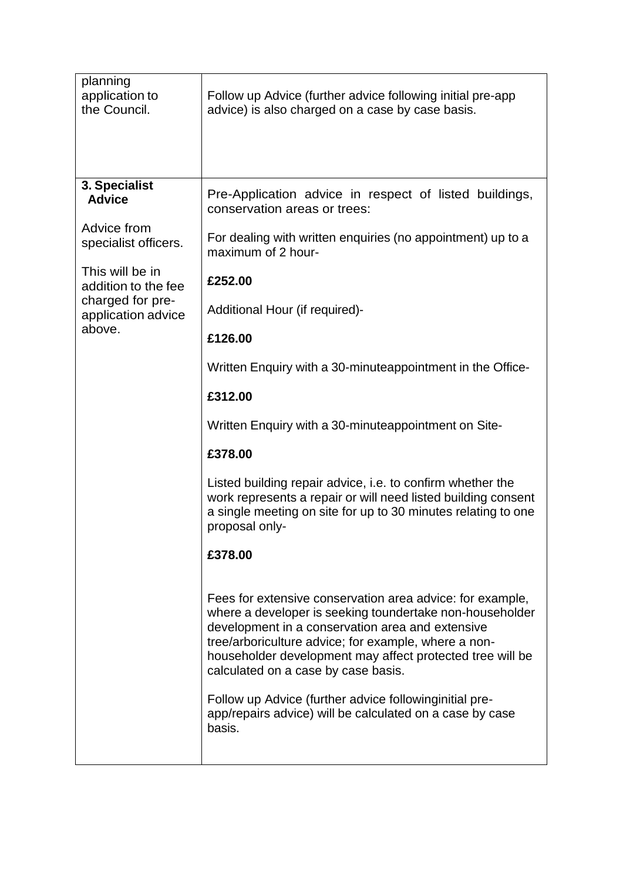| planning<br>application to<br>the Council.                                                 | Follow up Advice (further advice following initial pre-app<br>advice) is also charged on a case by case basis.                                                                                                                                                                                                                        |  |  |
|--------------------------------------------------------------------------------------------|---------------------------------------------------------------------------------------------------------------------------------------------------------------------------------------------------------------------------------------------------------------------------------------------------------------------------------------|--|--|
| 3. Specialist<br><b>Advice</b>                                                             | Pre-Application advice in respect of listed buildings,<br>conservation areas or trees:                                                                                                                                                                                                                                                |  |  |
| Advice from<br>specialist officers.                                                        | For dealing with written enquiries (no appointment) up to a<br>maximum of 2 hour-                                                                                                                                                                                                                                                     |  |  |
| This will be in<br>addition to the fee<br>charged for pre-<br>application advice<br>above. | £252.00                                                                                                                                                                                                                                                                                                                               |  |  |
|                                                                                            | Additional Hour (if required)-                                                                                                                                                                                                                                                                                                        |  |  |
|                                                                                            | £126.00                                                                                                                                                                                                                                                                                                                               |  |  |
|                                                                                            | Written Enquiry with a 30-minuteappointment in the Office-                                                                                                                                                                                                                                                                            |  |  |
|                                                                                            | £312.00                                                                                                                                                                                                                                                                                                                               |  |  |
|                                                                                            | Written Enquiry with a 30-minuteappointment on Site-                                                                                                                                                                                                                                                                                  |  |  |
|                                                                                            | £378.00                                                                                                                                                                                                                                                                                                                               |  |  |
|                                                                                            | Listed building repair advice, i.e. to confirm whether the<br>work represents a repair or will need listed building consent<br>a single meeting on site for up to 30 minutes relating to one<br>proposal only-                                                                                                                        |  |  |
|                                                                                            | £378.00                                                                                                                                                                                                                                                                                                                               |  |  |
|                                                                                            | Fees for extensive conservation area advice: for example,<br>where a developer is seeking toundertake non-householder<br>development in a conservation area and extensive<br>tree/arboriculture advice; for example, where a non-<br>householder development may affect protected tree will be<br>calculated on a case by case basis. |  |  |
|                                                                                            | Follow up Advice (further advice followinginitial pre-<br>app/repairs advice) will be calculated on a case by case<br>basis.                                                                                                                                                                                                          |  |  |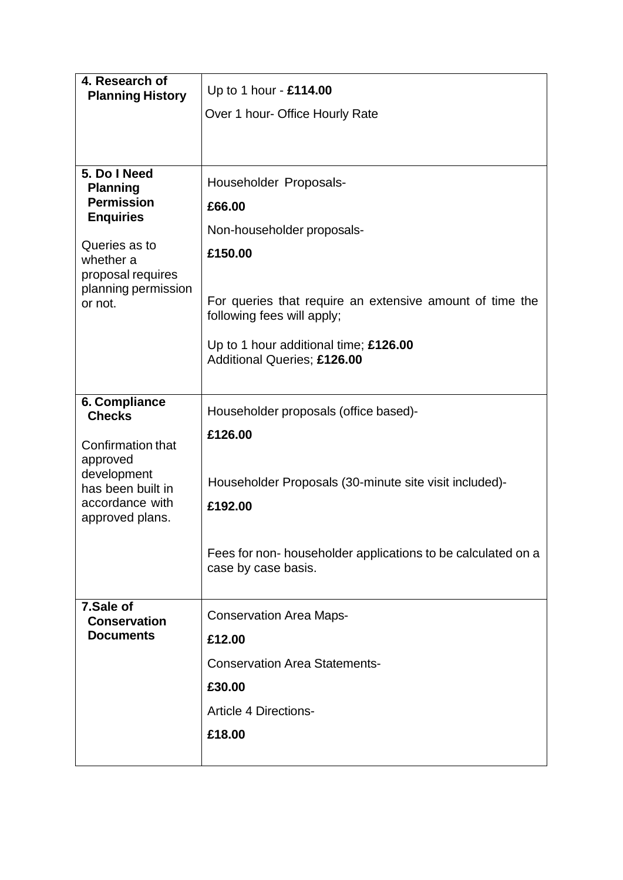| 4. Research of<br><b>Planning History</b>                                                                                                                     | Up to 1 hour - £114.00                                                                 |  |  |
|---------------------------------------------------------------------------------------------------------------------------------------------------------------|----------------------------------------------------------------------------------------|--|--|
|                                                                                                                                                               | Over 1 hour- Office Hourly Rate                                                        |  |  |
|                                                                                                                                                               |                                                                                        |  |  |
|                                                                                                                                                               |                                                                                        |  |  |
| 5. Do I Need<br><b>Planning</b><br><b>Permission</b><br><b>Enquiries</b><br>Queries as to<br>whether a<br>proposal requires<br>planning permission<br>or not. | Householder Proposals-                                                                 |  |  |
|                                                                                                                                                               | £66.00                                                                                 |  |  |
|                                                                                                                                                               | Non-householder proposals-                                                             |  |  |
|                                                                                                                                                               | £150.00                                                                                |  |  |
|                                                                                                                                                               | For queries that require an extensive amount of time the<br>following fees will apply; |  |  |
|                                                                                                                                                               | Up to 1 hour additional time; £126.00<br>Additional Queries; £126.00                   |  |  |
| 6. Compliance                                                                                                                                                 |                                                                                        |  |  |
| <b>Checks</b>                                                                                                                                                 | Householder proposals (office based)-                                                  |  |  |
| Confirmation that                                                                                                                                             | £126.00                                                                                |  |  |
| approved<br>development                                                                                                                                       |                                                                                        |  |  |
| has been built in<br>accordance with<br>approved plans.                                                                                                       | Householder Proposals (30-minute site visit included)-                                 |  |  |
|                                                                                                                                                               | £192.00                                                                                |  |  |
|                                                                                                                                                               | Fees for non- householder applications to be calculated on a<br>case by case basis.    |  |  |
| 7.Sale of<br><b>Conservation</b><br><b>Documents</b>                                                                                                          | <b>Conservation Area Maps-</b>                                                         |  |  |
|                                                                                                                                                               | £12.00                                                                                 |  |  |
|                                                                                                                                                               | <b>Conservation Area Statements-</b>                                                   |  |  |
|                                                                                                                                                               | £30.00                                                                                 |  |  |
|                                                                                                                                                               | <b>Article 4 Directions-</b>                                                           |  |  |
|                                                                                                                                                               | £18.00                                                                                 |  |  |
|                                                                                                                                                               |                                                                                        |  |  |